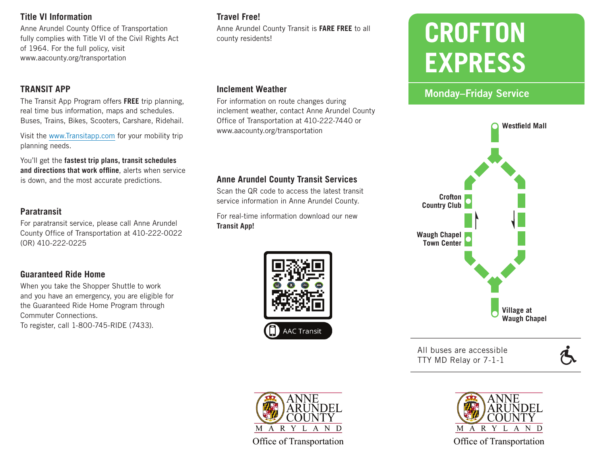#### **Title VI Information**

Anne Arundel County Office of Transportation fully complies with Title VI of the Civil Rights Act of 1964. For the full policy, visit www.aacounty.org/transportation

### **TRANSIT APP**

The Transit App Program offers **FREE** trip planning, real time bus information, maps and schedules. Buses, Trains, Bikes, Scooters, Carshare, Ridehail.

Visit the www.Transitapp.com for your mobility trip planning needs.

You'll get the **fastest trip plans, transit schedules and directions that work offline**, alerts when service is down, and the most accurate predictions. **Anne Arundel County Transit Services**

#### **Paratransit**

For paratransit service, please call Anne Arundel County Office of Transportation at 410-222-0022 (OR) 410-222-0225

# **Guaranteed Ride Home**

When you take the Shopper Shuttle to work and you have an emergency, you are eligible for the Guaranteed Ride Home Program through Commuter Connections. To register, call 1-800-745-RIDE (7433).

# **Travel Free!**

Anne Arundel County Transit is **FARE FREE** to all county residents!

#### **Inclement Weather**

For information on route changes during inclement weather, contact Anne Arundel County Office of Transportation at 410-222-7440 or www.aacounty.org/transportation

Scan the QR code to access the latest transit service information in Anne Arundel County.

For real-time information download our new **Transit App!**





# Monday–Friday Service



All buses are accessible TTY MD Relay or 7-1-1



**ANNE ARUNDEL** M A R Y L A N D Office of Transportation